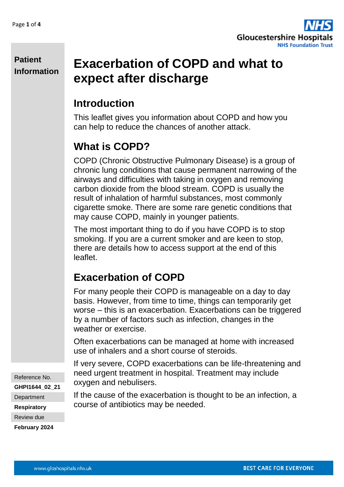

#### **Patient Information**

# **Exacerbation of COPD and what to expect after discharge**

## **Introduction**

This leaflet gives you information about COPD and how you can help to reduce the chances of another attack.

## **What is COPD?**

COPD (Chronic Obstructive Pulmonary Disease) is a group of chronic lung conditions that cause permanent narrowing of the airways and difficulties with taking in oxygen and removing carbon dioxide from the blood stream. COPD is usually the result of inhalation of harmful substances, most commonly cigarette smoke. There are some rare genetic conditions that may cause COPD, mainly in younger patients.

The most important thing to do if you have COPD is to stop smoking. If you are a current smoker and are keen to stop, there are details how to access support at the end of this leaflet.

## **Exacerbation of COPD**

For many people their COPD is manageable on a day to day basis. However, from time to time, things can temporarily get worse – this is an exacerbation. Exacerbations can be triggered by a number of factors such as infection, changes in the weather or exercise.

Often exacerbations can be managed at home with increased use of inhalers and a short course of steroids.

If very severe, COPD exacerbations can be life-threatening and need urgent treatment in hospital. Treatment may include oxygen and nebulisers.

If the cause of the exacerbation is thought to be an infection, a course of antibiotics may be needed.

Reference No.

**GHPI1644\_02\_21**

**Department** 

**Respiratory**

Review due

**February 2024**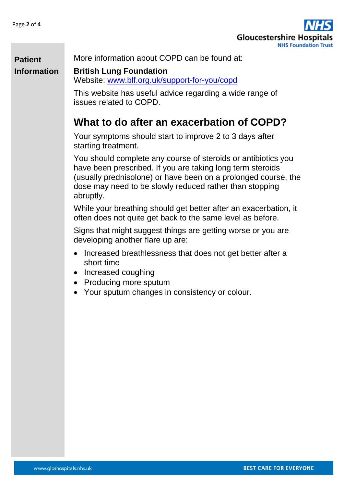

More information about COPD can be found at:

### **Patient Information**

**British Lung Foundation** Website: [www.blf.org.uk/support-for-you/copd](http://www.blf.org.uk/support-for-you/copd)

This website has useful advice regarding a wide range of issues related to COPD.

### **What to do after an exacerbation of COPD?**

Your symptoms should start to improve 2 to 3 days after starting treatment.

You should complete any course of steroids or antibiotics you have been prescribed. If you are taking long term steroids (usually prednisolone) or have been on a prolonged course, the dose may need to be slowly reduced rather than stopping abruptly.

While your breathing should get better after an exacerbation, it often does not quite get back to the same level as before.

Signs that might suggest things are getting worse or you are developing another flare up are:

- Increased breathlessness that does not get better after a short time
- Increased coughing
- Producing more sputum
- Your sputum changes in consistency or colour.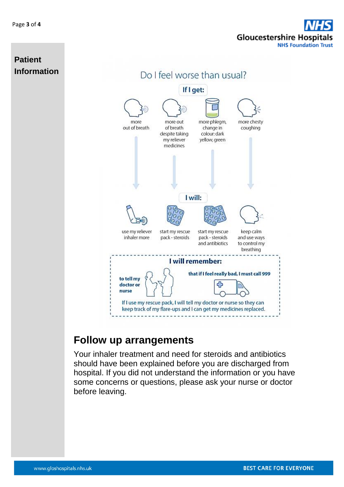# **Gloucestershire Hospitals NHS Foundation Trust**



### **Follow up arrangements**

Your inhaler treatment and need for steroids and antibiotics should have been explained before you are discharged from hospital. If you did not understand the information or you have some concerns or questions, please ask your nurse or doctor before leaving.